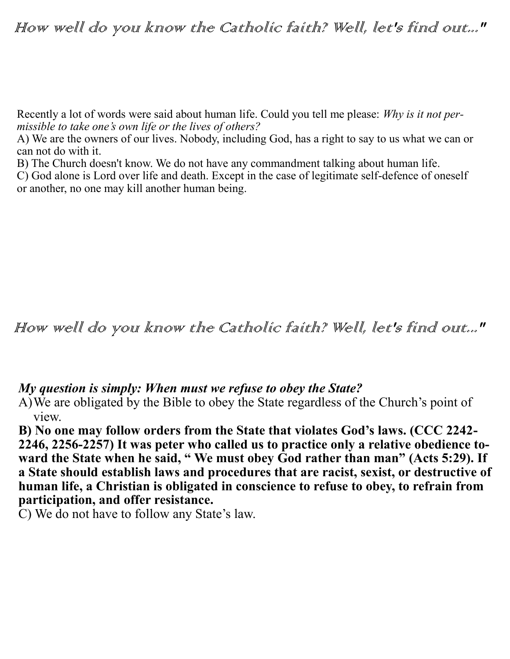## How well do you know the Catholic faith? Well, let's find out..."

Recently a lot of words were said about human life. Could you tell me please: *Why is it not permissible to take one's own life or the lives of others?*

A) We are the owners of our lives. Nobody, including God, has a right to say to us what we can or can not do with it.

B) The Church doesn't know. We do not have any commandment talking about human life.

C) God alone is Lord over life and death. Except in the case of legitimate self-defence of oneself or another, no one may kill another human being.

How well do you know the Catholic faith? Well, let's find out..."

## *My question is simply: When must we refuse to obey the State?*

A)We are obligated by the Bible to obey the State regardless of the Church's point of view.

**B) No one may follow orders from the State that violates God's laws. (CCC 2242- 2246, 2256-2257) It was peter who called us to practice only a relative obedience toward the State when he said, " We must obey God rather than man" (Acts 5:29). If a State should establish laws and procedures that are racist, sexist, or destructive of human life, a Christian is obligated in conscience to refuse to obey, to refrain from participation, and offer resistance.** 

C) We do not have to follow any State's law.